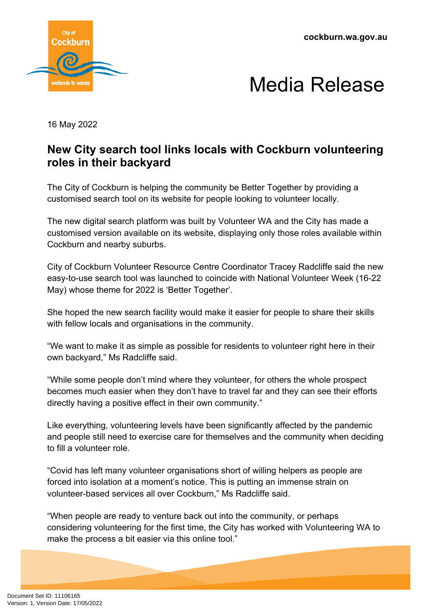**cockburn.wa.gov.au**





16 May 2022

## **New City search tool links locals with Cockburn volunteering roles in their backyard**

The City of Cockburn is helping the community be Better Together by providing a customised search tool on its website for people looking to volunteer locally.

The new digital search platform was built by Volunteer WA and the City has made a customised version available on its website, displaying only those roles available within Cockburn and nearby suburbs.

City of Cockburn Volunteer Resource Centre Coordinator Tracey Radcliffe said the new easy-to-use search tool was launched to coincide with National Volunteer Week (16-22 May) whose theme for 2022 is 'Better Together'.

She hoped the new search facility would make it easier for people to share their skills with fellow locals and organisations in the community.

"We want to make it as simple as possible for residents to volunteer right here in their own backyard," Ms Radcliffe said.

"While some people don't mind where they volunteer, for others the whole prospect becomes much easier when they don't have to travel far and they can see their efforts directly having a positive effect in their own community."

Like everything, volunteering levels have been significantly affected by the pandemic and people still need to exercise care for themselves and the community when deciding to fill a volunteer role.

"Covid has left many volunteer organisations short of willing helpers as people are forced into isolation at a moment's notice. This is putting an immense strain on volunteer-based services all over Cockburn," Ms Radcliffe said.

"When people are ready to venture back out into the community, or perhaps considering volunteering for the first time, the City has worked with Volunteering WA to make the process a bit easier via this online tool."